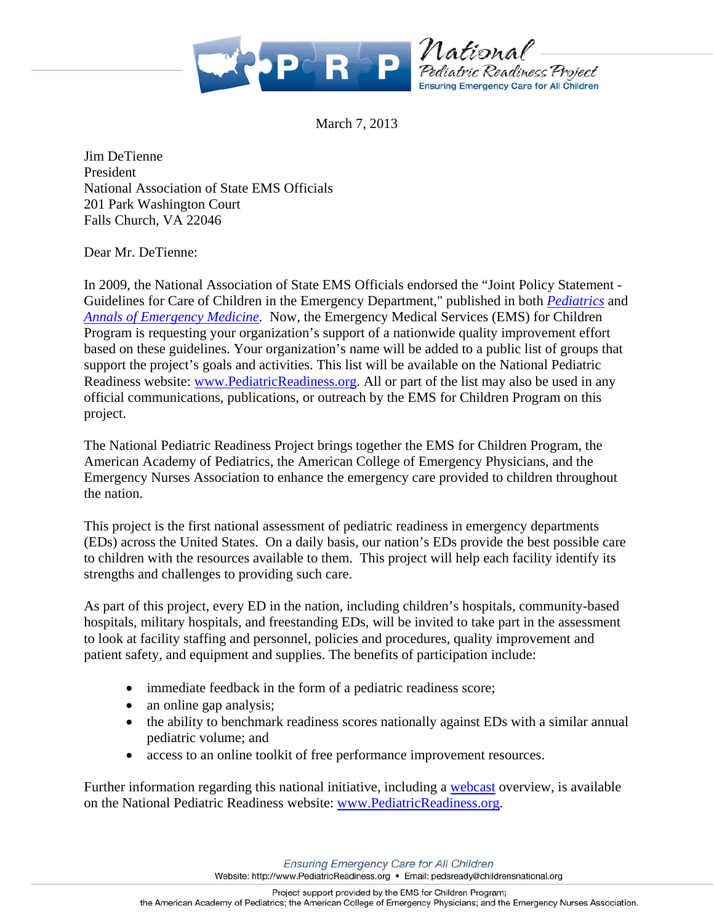

March 7, 2013

Jim DeTienne President National Association of State EMS Officials 201 Park Washington Court Falls Church, VA 22046

Dear Mr. DeTienne:

In 2009, the National Association of State EMS Officials endorsed the "Joint Policy Statement - Guidelines for Care of Children in the Emergency Department," published in both *Pediatrics* and *Annals of Emergency Medicine.* Now, the Emergency Medical Services (EMS) for Children Program is requesting your organization's support of a nationwide quality improvement effort based on these guidelines. Your organization's name will be added to a public list of groups that support the project's goals and activities. This list will be available on the National Pediatric Readiness website: www.PediatricReadiness.org. All or part of the list may also be used in any official communications, publications, or outreach by the EMS for Children Program on this project.

The National Pediatric Readiness Project brings together the EMS for Children Program, the American Academy of Pediatrics, the American College of Emergency Physicians, and the Emergency Nurses Association to enhance the emergency care provided to children throughout the nation.

This project is the first national assessment of pediatric readiness in emergency departments (EDs) across the United States. On a daily basis, our nation's EDs provide the best possible care to children with the resources available to them. This project will help each facility identify its strengths and challenges to providing such care.

As part of this project, every ED in the nation, including children's hospitals, community-based hospitals, military hospitals, and freestanding EDs, will be invited to take part in the assessment to look at facility staffing and personnel, policies and procedures, quality improvement and patient safety, and equipment and supplies. The benefits of participation include:

- immediate feedback in the form of a pediatric readiness score;
- an online gap analysis;
- the ability to benchmark readiness scores nationally against EDs with a similar annual pediatric volume; and
- access to an online toolkit of free performance improvement resources.

Further information regarding this national initiative, including a webcast overview, is available on the National Pediatric Readiness website: www.PediatricReadiness.org.

**Ensuring Emergency Care for All Children** 

Website: http://www.PediatricReadiness.org · Email: pedsready@childrensnational.org